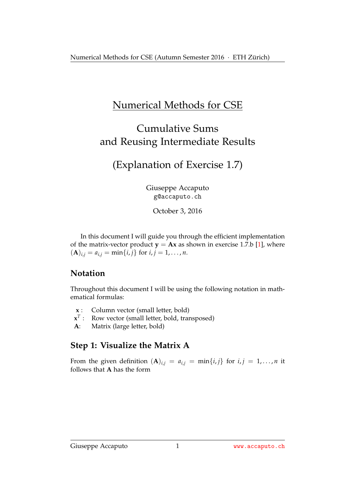# Numerical Methods for CSE

# Cumulative Sums and Reusing Intermediate Results

# (Explanation of Exercise 1.7)

Giuseppe Accaputo g@accaputo.ch

October 3, 2016

In this document I will guide you through the efficient implementation of the matrix-vector product  $y = Ax$  as shown in exercise 1.7.b [\[1\]](#page-5-0), where  $({\bf A})_{i,j} = a_{i,j} = \min\{i,j\}$  for  $i, j = 1, ..., n$ .

### **Notation**

Throughout this document I will be using the following notation in mathematical formulas:

- **x** : Column vector (small letter, bold)
- $\mathbf{x}^T$  : Row vector (small letter, bold, transposed)
- **A**: Matrix (large letter, bold)

### **Step 1: Visualize the Matrix A**

From the given definition  $(A)_{i,j} = a_{i,j} = \min\{i,j\}$  for  $i, j = 1, \ldots, n$  it follows that **A** has the form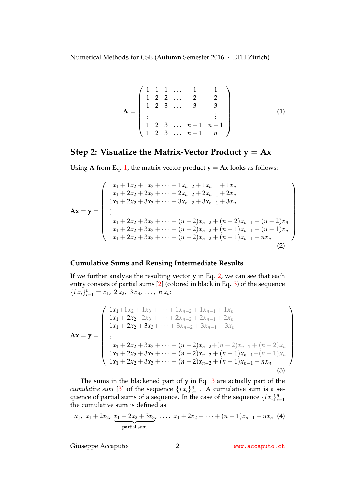<span id="page-1-0"></span>
$$
\mathbf{A} = \begin{pmatrix} 1 & 1 & 1 & \dots & 1 & 1 \\ 1 & 2 & 2 & \dots & 2 & 2 \\ 1 & 2 & 3 & \dots & 3 & 3 \\ \vdots & & & & & \vdots \\ 1 & 2 & 3 & \dots & n-1 & n-1 \\ 1 & 2 & 3 & \dots & n-1 & n \end{pmatrix}
$$
(1)

### **Step 2: Visualize the Matrix-Vector Product**  $y = Ax$

Using **A** from Eq. [1,](#page-1-0) the matrix-vector product  $y = Ax$  looks as follows:

$$
\mathbf{Ax} = \mathbf{y} = \begin{pmatrix} 1x_1 + 1x_2 + 1x_3 + \dots + 1x_{n-2} + 1x_{n-1} + 1x_n \\ 1x_1 + 2x_2 + 2x_3 + \dots + 2x_{n-2} + 2x_{n-1} + 2x_n \\ 1x_1 + 2x_2 + 3x_3 + \dots + 3x_{n-2} + 3x_{n-1} + 3x_n \\ \vdots \\ 1x_1 + 2x_2 + 3x_3 + \dots + (n-2)x_{n-2} + (n-2)x_{n-1} + (n-2)x_n \\ 1x_1 + 2x_2 + 3x_3 + \dots + (n-2)x_{n-2} + (n-1)x_{n-1} + (n-1)x_n \\ 1x_1 + 2x_2 + 3x_3 + \dots + (n-2)x_{n-2} + (n-1)x_{n-1} + nx_n \end{pmatrix}
$$
\n(2)

#### <span id="page-1-1"></span>**Cumulative Sums and Reusing Intermediate Results**

If we further analyze the resulting vector **y** in Eq. [2,](#page-1-1) we can see that each entry consists of partial sums [\[2\]](#page-5-1) (colored in black in Eq. [3\)](#page-1-2) of the sequence  $\{i\ x_i\}_{i=1}^n = x_1, \ 2\ x_2, \ 3\ x_3, \ \ldots, \ n\ x_n$ :

$$
\mathbf{Ax} = \mathbf{y} = \begin{pmatrix} 1x_1 + 1x_2 + 1x_3 + \dots + 1x_{n-2} + 1x_{n-1} + 1x_n \\ 1x_1 + 2x_2 + 2x_3 + \dots + 2x_{n-2} + 2x_{n-1} + 2x_n \\ 1x_1 + 2x_2 + 3x_3 + \dots + 3x_{n-2} + 3x_{n-1} + 3x_n \\ \vdots \\ 1x_1 + 2x_2 + 3x_3 + \dots + (n-2)x_{n-2} + (n-2)x_{n-1} + (n-2)x_n \\ 1x_1 + 2x_2 + 3x_3 + \dots + (n-2)x_{n-2} + (n-1)x_{n-1} + (n-1)x_n \\ 1x_1 + 2x_2 + 3x_3 + \dots + (n-2)x_{n-2} + (n-1)x_{n-1} + nx_n \end{pmatrix}
$$
\n(3)

<span id="page-1-2"></span>The sums in the blackened part of **y** in Eq. [3](#page-1-2) are actually part of the *cumulative sum* [\[3\]](#page-5-2) of the sequence  $\{i x_i\}_{i=1}^n$ . A cumulative sum is a sequence of partial sums of a sequence. In the case of the sequence  $\{i x_i\}_{i=1}^n$ the cumulative sum is defined as

$$
x_1
$$
,  $x_1 + 2x_2$ ,  $\underbrace{x_1 + 2x_2 + 3x_3}$ , ...,  $x_1 + 2x_2 + \cdots + (n-1)x_{n-1} + nx_n$  (4) partial sum

Giuseppe Accaputo 2 **2 <www.accaputo.ch>**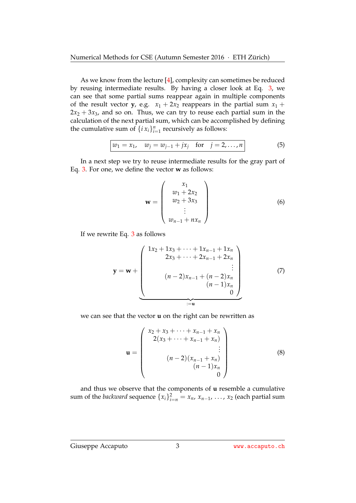As we know from the lecture  $[4]$ , complexity can sometimes be reduced by reusing intermediate results. By having a closer look at Eq. [3,](#page-1-2) we can see that some partial sums reappear again in multiple components of the result vector **y**, e.g.  $x_1 + 2x_2$  reappears in the partial sum  $x_1 +$  $2x_2 + 3x_3$ , and so on. Thus, we can try to reuse each partial sum in the calculation of the next partial sum, which can be accomplished by defining the cumulative sum of  $\{i x_i\}_{i=1}^n$  recursively as follows:

$$
w_1 = x_1
$$
,  $w_j = w_{j-1} + jx_j$  for  $j = 2,...,n$  (5)

In a next step we try to reuse intermediate results for the gray part of Eq. [3.](#page-1-2) For one, we define the vector **w** as follows:

<span id="page-2-0"></span>
$$
\mathbf{w} = \begin{pmatrix} x_1 \\ w_1 + 2x_2 \\ w_2 + 3x_3 \\ \vdots \\ w_{n-1} + nx_n \end{pmatrix}
$$
 (6)

If we rewrite Eq. [3](#page-1-2) as follows

$$
\mathbf{y} = \mathbf{w} + \begin{pmatrix} 1x_2 + 1x_3 + \dots + 1x_{n-1} + 1x_n \\ 2x_3 + \dots + 2x_{n-1} + 2x_n \\ \vdots \\ (n-2)x_{n-1} + (n-2)x_n \\ (n-1)x_n \\ 0 \end{pmatrix}
$$
(7)

we can see that the vector **u** on the right can be rewritten as

$$
\mathbf{u} = \begin{pmatrix} x_2 + x_3 + \dots + x_{n-1} + x_n \\ 2(x_3 + \dots + x_{n-1} + x_n) \\ \vdots \\ (n-2)(x_{n-1} + x_n) \\ (n-1)x_n \\ 0 \end{pmatrix}
$$
 (8)

and thus we observe that the components of **u** resemble a cumulative sum of the *backward* sequence  $\{x_i\}_{i=n}^2 = x_n$ ,  $x_{n-1}$ , ...,  $x_2$  (each partial sum

Giuseppe Accaputo 3 3 <www.accaputo.ch>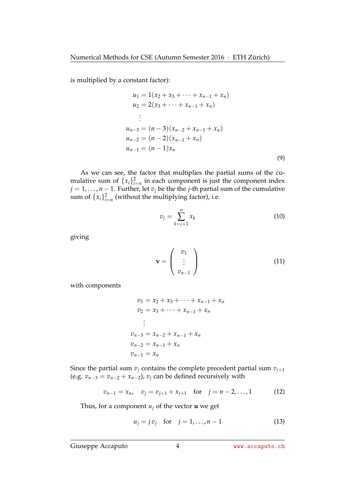is multiplied by a constant factor):

$$
u_1 = 1(x_2 + x_3 + \dots + x_{n-1} + x_n)
$$
  
\n
$$
u_2 = 2(x_3 + \dots + x_{n-1} + x_n)
$$
  
\n
$$
\vdots
$$
  
\n
$$
u_{n-3} = (n-3)(x_{n-2} + x_{n-1} + x_n)
$$
  
\n
$$
u_{n-2} = (n-2)(x_{n-1} + x_n)
$$
  
\n
$$
u_{n-1} = (n-1)x_n
$$
\n(9)

As we can see, the factor that multiplies the partial sums of the cumulative sum of  $\{x_i\}_{i=n}^2$  in each component is just the component index *j* = 1, . . . , *n* − 1. Further, let *v<sup>j</sup>* be the the *j*-th partial sum of the cumulative sum of  $\{x_i\}_{i=n}^2$  (without the multiplying factor), i.e.

$$
v_j = \sum_{k=j+1}^n x_k \tag{10}
$$

giving

$$
\mathbf{v} = \begin{pmatrix} v_1 \\ \vdots \\ v_{n-1} \end{pmatrix} \tag{11}
$$

with components

$$
v_1 = x_2 + x_3 + \dots + x_{n-1} + x_n
$$
  
\n
$$
v_2 = x_3 + \dots + x_{n-1} + x_n
$$
  
\n
$$
\vdots
$$
  
\n
$$
v_{n-3} = x_{n-2} + x_{n-1} + x_n
$$
  
\n
$$
v_{n-2} = x_{n-1} + x_n
$$
  
\n
$$
v_{n-1} = x_n
$$

Since the partial sum  $v_j$  contains the complete precedent partial sum  $v_{j+1}$ (e.g.  $v_{n-3} = v_{n-2} + x_{n-2}$ ),  $v_j$  can be defined recursively with

$$
v_{n-1} = x_n, \quad v_j = v_{j+1} + x_{j+1} \quad \text{for} \quad j = n-2, \dots, 1 \tag{12}
$$

Thus, for a component  $u_j$  of the vector **u** we get

$$
u_j = j v_j
$$
 for  $j = 1,...,n-1$  (13)

Giuseppe Accaputo 4 WWW.accaputo.ch

<span id="page-3-0"></span>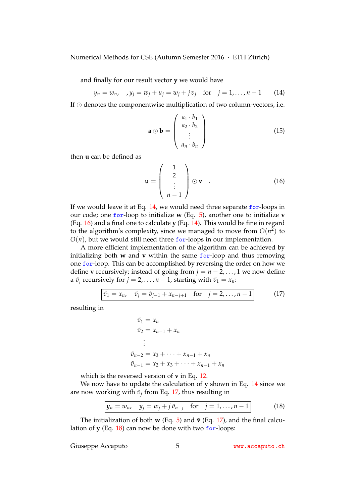and finally for our result vector **y** we would have

$$
y_n = w_n
$$
,  $y_j = w_j + u_j = w_j + j v_j$  for  $j = 1, ..., n-1$  (14)

If  $\odot$  denotes the componentwise multiplication of two column-vectors, i.e.

<span id="page-4-0"></span>
$$
\mathbf{a} \odot \mathbf{b} = \begin{pmatrix} a_1 \cdot b_1 \\ a_2 \cdot b_2 \\ \vdots \\ a_n \cdot b_n \end{pmatrix}
$$
 (15)

then **u** can be defined as

<span id="page-4-1"></span>
$$
\mathbf{u} = \begin{pmatrix} 1 \\ 2 \\ \vdots \\ n-1 \end{pmatrix} \odot \mathbf{v} . \qquad (16)
$$

If we would leave it at Eq. [14,](#page-4-0) we would need three separate for-loops in our code; one for-loop to initialize **w** (Eq. [5\)](#page-2-0), another one to initialize **v** (Eq. [16\)](#page-4-1) and a final one to calculate **y** (Eq. [14\)](#page-4-0). This would be fine in regard to the algorithm's complexity, since we managed to move from  $O(n^2)$  to  $O(n)$ , but we would still need three for-loops in our implementation.

A more efficient implementation of the algorithm can be achieved by initializing both **w** and **v** within the same for-loop and thus removing one for-loop. This can be accomplished by reversing the order on how we define **v** recursively; instead of going from  $j = n - 2, \ldots, 1$  we now define a  $\tilde{v}_j$  recursively for  $j = 2, ..., n - 1$ , starting with  $\tilde{v}_1 = x_n$ .

$$
\boxed{\tilde{v}_1 = x_n, \quad \tilde{v}_j = \tilde{v}_{j-1} + x_{n-j+1} \quad \text{for} \quad j = 2, \dots, n-1}
$$
 (17)

resulting in

<span id="page-4-3"></span><span id="page-4-2"></span>
$$
\tilde{v}_1 = x_n \n\tilde{v}_2 = x_{n-1} + x_n \n\vdots \n\tilde{v}_{n-2} = x_3 + \dots + x_{n-1} + x_n \n\tilde{v}_{n-1} = x_2 + x_3 + \dots + x_{n-1} + x_n
$$

which is the reversed version of **v** in Eq. [12.](#page-3-0)

We now have to update the calculation of **y** shown in Eq. [14](#page-4-0) since we are now working with  $\tilde{v}_j$  from Eq. [17,](#page-4-2) thus resulting in

$$
\boxed{y_n = w_n, \quad y_j = w_j + j \tilde{v}_{n-j} \quad \text{for} \quad j = 1, \dots, n-1}
$$
 (18)

The initialization of both **w** (Eq. [5\)](#page-2-0) and  $\tilde{v}$  (Eq. [17\)](#page-4-2), and the final calculation of **y** (Eq. [18\)](#page-4-3) can now be done with two for-loops:

Giuseppe Accaputo 5 5 <www.accaputo.ch>